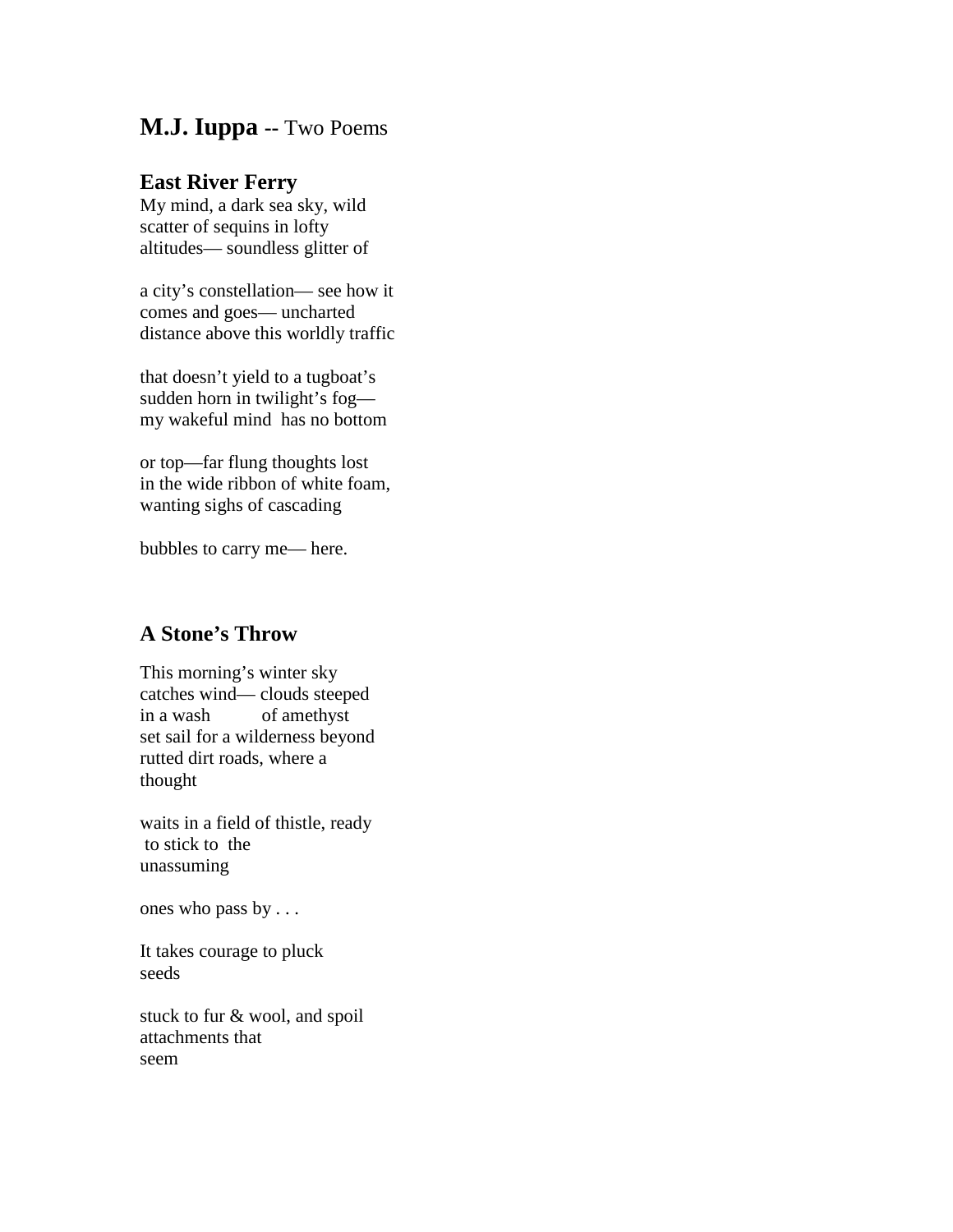## **M.J. Iuppa --** Two Poems

## **East River Ferry**

My mind, a dark sea sky, wild scatter of sequins in lofty altitudes— soundless glitter of

a city's constellation— see how it comes and goes— uncharted distance above this worldly traffic

that doesn't yield to a tugboat's sudden horn in twilight's fog my wakeful mind has no bottom

or top—far flung thoughts lost in the wide ribbon of white foam, wanting sighs of cascading

bubbles to carry me— here.

## **A Stone's Throw**

This morning's winter sky catches wind— clouds steeped in a wash of amethyst set sail for a wilderness beyond rutted dirt roads, where a thought

waits in a field of thistle, ready to stick to the unassuming

ones who pass by . . .

It takes courage to pluck seeds

stuck to fur & wool, and spoil attachments that seem